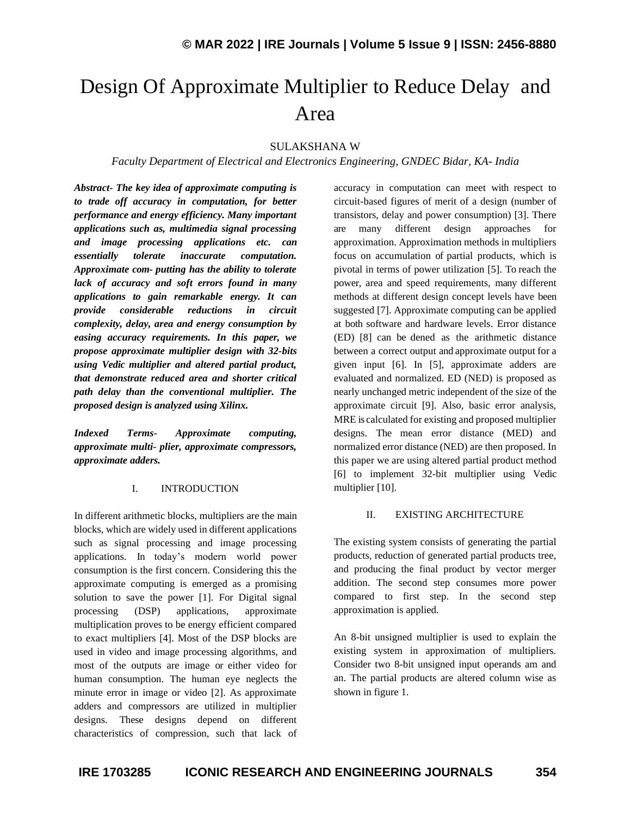# Design Of Approximate Multiplier to Reduce Delay and Area

# SULAKSHANA W

# *Faculty Department of Electrical and Electronics Engineering, GNDEC Bidar, KA- India*

*Abstract- The key idea of approximate computing is to trade off accuracy in computation, for better performance and energy efficiency. Many important applications such as, multimedia signal processing and image processing applications etc. can essentially tolerate inaccurate computation. Approximate com- putting has the ability to tolerate lack of accuracy and soft errors found in many applications to gain remarkable energy. It can provide considerable reductions in circuit complexity, delay, area and energy consumption by easing accuracy requirements. In this paper, we propose approximate multiplier design with 32-bits using Vedic multiplier and altered partial product, that demonstrate reduced area and shorter critical path delay than the conventional multiplier. The proposed design is analyzed using Xilinx.*

*Indexed Terms- Approximate computing, approximate multi- plier, approximate compressors, approximate adders.*

#### I. INTRODUCTION

In different arithmetic blocks, multipliers are the main blocks, which are widely used in different applications such as signal processing and image processing applications. In today's modern world power consumption is the first concern. Considering this the approximate computing is emerged as a promising solution to save the power [1]. For Digital signal processing (DSP) applications, approximate multiplication proves to be energy efficient compared to exact multipliers [4]. Most of the DSP blocks are used in video and image processing algorithms, and most of the outputs are image or either video for human consumption. The human eye neglects the minute error in image or video [2]. As approximate adders and compressors are utilized in multiplier designs. These designs depend on different characteristics of compression, such that lack of accuracy in computation can meet with respect to circuit-based figures of merit of a design (number of transistors, delay and power consumption) [3]. There are many different design approaches for approximation. Approximation methods in multipliers focus on accumulation of partial products, which is pivotal in terms of power utilization [5]. To reach the power, area and speed requirements, many different methods at different design concept levels have been suggested [7]. Approximate computing can be applied at both software and hardware levels. Error distance (ED) [8] can be dened as the arithmetic distance between a correct output and approximate output for a given input [6]. In [5], approximate adders are evaluated and normalized. ED (NED) is proposed as nearly unchanged metric independent of the size of the approximate circuit [9]. Also, basic error analysis, MRE is calculated for existing and proposed multiplier designs. The mean error distance (MED) and normalized error distance (NED) are then proposed. In this paper we are using altered partial product method [6] to implement 32-bit multiplier using Vedic multiplier [10].

#### II. EXISTING ARCHITECTURE

The existing system consists of generating the partial products, reduction of generated partial products tree, and producing the final product by vector merger addition. The second step consumes more power compared to first step. In the second step approximation is applied.

An 8-bit unsigned multiplier is used to explain the existing system in approximation of multipliers. Consider two 8-bit unsigned input operands am and an. The partial products are altered column wise as shown in figure 1.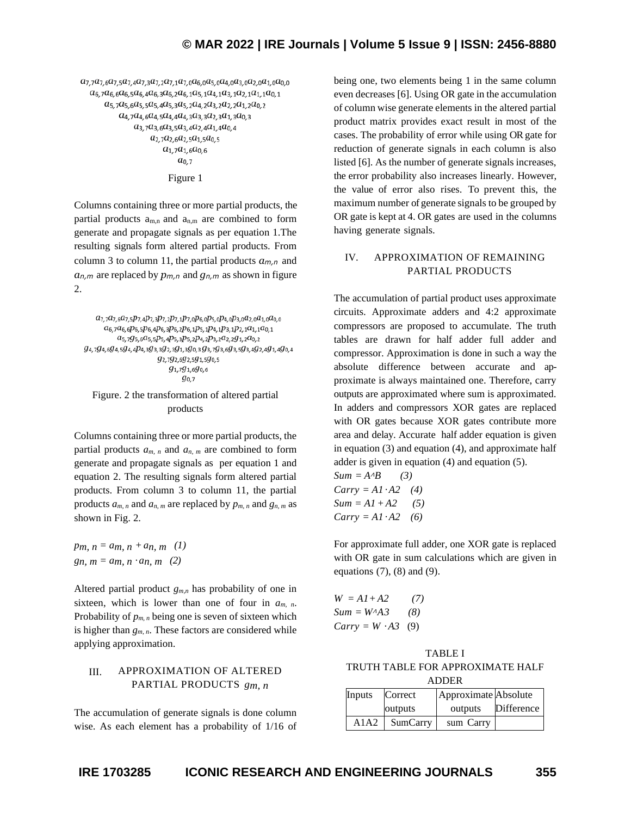$a_{7,7}a_{7,6}a_{7,5}a_{7,4}a_{7,3}a_{7,2}a_{7,1}a_{7,0}a_{6,0}a_{5,0}a_{4,0}a_{3,0}a_{2,0}a_{1,0}a_{0,0}$  $a_{6,7}a_{6,6}a_{6,5}a_{6,4}a_{6,3}a_{6,2}a_{6,1}a_{5,1}a_{4,1}a_{3,1}a_{2,1}a_{1,1}a_{0,1}$  $a_{5,7}a_{5,6}a_{5,5}a_{5,4}a_{5,3}a_{5,2}a_{4,2}a_{3,2}a_{2,2}a_{1,2}a_{0,2}$  $a_{4,7}a_{4,6}a_{4,5}a_{4,4}a_{4,3}a_{3,3}a_{2,3}a_{1,3}a_{0,3}$  $a_{3,7}a_{3,6}a_{3,5}a_{3,4}a_{2,4}a_{1,4}a_{0,4}$  $a_{2,7}a_{2,6}a_{2,5}a_{1,5}a_{0,5}$  $a_{1,7}a_{1,6}a_{0,6}$  $a_{0,7}$ 

Figure 1

Columns containing three or more partial products, the partial products  $a_{m,n}$  and  $a_{n,m}$  are combined to form generate and propagate signals as per equation 1.The resulting signals form altered partial products. From column 3 to column 11, the partial products *am,n* and *an,m* are replaced by *pm,n* and *gn,m* as shown in figure 2.

 $a_{7,7}a_{7,6}a_{7,5}p_{7,4}p_{7,3}p_{7,2}p_{7,1}p_{7,0}p_{6,0}p_{5,0}p_{4,0}p_{3,0}a_{2,0}a_{1,0}a_{0,0}$  $a_{6,7}a_{6,6}p_{6,5}p_{6,4}p_{6,3}p_{6,2}p_{6,1}p_{5,1}p_{4,1}p_{3,1}p_{2,1}a_{1,1}a_{0,1}$  $a_{5,7}g_{5,6}a_{5,5}p_{5,4}p_{5,3}p_{5,2}p_{4,2}p_{3,2}a_{2,2}g_{1,2}a_{0,2}$  $g_{4,7}g_{4,6}g_{4,5}g_{4,4}p_{4,3}g_{3,3}g_{2,3}g_{1,3}g_{0,3}g_{3,7}g_{3,6}g_{3,5}g_{3,4}g_{2,4}g_{1,4}g_{0,4}$  $g_{2,7}g_{2,6}g_{2,5}g_{1,5}g_{0,5}$  $g_{1,7}g_{1,6}g_{0,6}$  $g_{0.7}$ 

#### Figure. 2 the transformation of altered partial products

Columns containing three or more partial products, the partial products  $a_{m,n}$  and  $a_{n,m}$  are combined to form generate and propagate signals as per equation 1 and equation 2. The resulting signals form altered partial products. From column 3 to column 11, the partial products *am, n* and *an, m* are replaced by *pm, n* and *gn, m* as shown in Fig. 2.

*pm, n* = *am, n* + *an, m* (1) *gn, m* =  $a_{m, n} \cdot a_{n, m}$  (2)

Altered partial product *gm,n* has probability of one in sixteen, which is lower than one of four in  $a_{m}$ , n. Probability of  $p_{m,n}$  being one is seven of sixteen which is higher than  $g_{m,n}$ . These factors are considered while applying approximation.

# III. APPROXIMATION OF ALTERED PARTIAL PRODUCTS *gm, n*

The accumulation of generate signals is done column wise. As each element has a probability of 1/16 of being one, two elements being 1 in the same column even decreases [6]. Using OR gate in the accumulation of column wise generate elements in the altered partial product matrix provides exact result in most of the cases. The probability of error while using OR gate for reduction of generate signals in each column is also listed [6]. As the number of generate signals increases, the error probability also increases linearly. However, the value of error also rises. To prevent this, the maximum number of generate signals to be grouped by OR gate is kept at 4. OR gates are used in the columns having generate signals.

## IV. APPROXIMATION OF REMAINING PARTIAL PRODUCTS

The accumulation of partial product uses approximate circuits. Approximate adders and 4:2 approximate compressors are proposed to accumulate. The truth tables are drawn for half adder full adder and compressor. Approximation is done in such a way the absolute difference between accurate and approximate is always maintained one. Therefore, carry outputs are approximated where sum is approximated. In adders and compressors XOR gates are replaced with OR gates because XOR gates contribute more area and delay. Accurate half adder equation is given in equation (3) and equation (4), and approximate half adder is given in equation (4) and equation (5).

 $Sum = A \cdot B$  (3)  $Carrv = A1 \cdot A2$  (4)  $Sum = A1 + A2$  (5)  $Carry = A1 \cdot A2$  (6)

For approximate full adder, one XOR gate is replaced with OR gate in sum calculations which are given in equations  $(7)$ ,  $(8)$  and  $(9)$ .

| $W = A1 + A2$            | (7) |
|--------------------------|-----|
| $Sum = W^A A3$           | (8) |
| $Carry = W \cdot A3$ (9) |     |

TABLE I TRUTH TABLE FOR APPROXIMATE HALF ADDER

| .      |          |                      |            |  |  |  |
|--------|----------|----------------------|------------|--|--|--|
| Inputs | Correct  | Approximate Absolute |            |  |  |  |
|        | outputs  | outputs              | Difference |  |  |  |
| A1A2   | SumCarry | sum Carry            |            |  |  |  |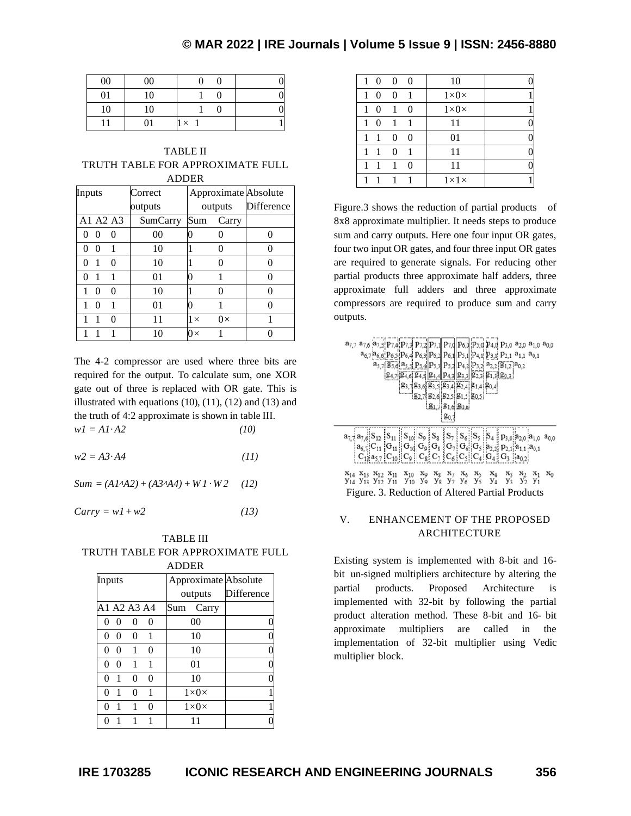# **© MAR 2022 | IRE Journals | Volume 5 Issue 9 | ISSN: 2456-8880**

| 00 | 00 |          |  |
|----|----|----------|--|
| 01 | 10 |          |  |
| 10 | 10 |          |  |
|    | 01 | $\times$ |  |

TABLE II TRUTH TABLE FOR APPROXIMATE FULL ADDER

| Inputs               | Correct        | Approximate Absolute   |            |
|----------------------|----------------|------------------------|------------|
|                      | outputs        | outputs                | Difference |
| A1 A2 A3             | SumCarry       | Sum<br>Carry           |            |
| $\theta$<br>$\Omega$ | 0 <sub>0</sub> |                        |            |
| $\theta$             | 10             |                        | 0          |
| 0<br>0               | 10             |                        | ∩          |
| $\mathbf{0}$         | 01             |                        |            |
| 0<br>$\Omega$        | 10             |                        |            |
| 0                    | 01             |                        | 0          |
| 0                    | 11             | $0\times$<br>$1\times$ | 1          |
|                      | 10             | $0\times$              |            |

The 4-2 compressor are used where three bits are required for the output. To calculate sum, one XOR gate out of three is replaced with OR gate. This is illustrated with equations  $(10)$ ,  $(11)$ ,  $(12)$  and  $(13)$  and the truth of 4:2 approximate is shown in table III.  $w1 = A1 \cdot A2$  (10)

 $w2 = A3 \cdot A4$  (11)

 $Sum = (A1 \cdot A2) + (A3 \cdot A4) + W1 \cdot W2$  (12)

 $Carry = w1 + w2$  (13)

TABLE III TRUTH TABLE FOR APPROXIMATE FULL

|          |          |             |          | <b>ADDER</b>         |            |
|----------|----------|-------------|----------|----------------------|------------|
| Inputs   |          |             |          | Approximate Absolute |            |
|          |          |             |          | outputs              | Difference |
|          |          | A1 A2 A3 A4 |          | Sum<br>Carry         |            |
| 0        | 0        | $\Omega$    | $\theta$ | 00                   |            |
| 0        | ∩        | $\theta$    | 1        | 10                   |            |
| $\Omega$ | 0        | 1           | 0        | 10                   |            |
| $\Omega$ | $\Omega$ | 1           | 1        | 01                   |            |
| 0        | 1        | 0           | 0        | 10                   |            |
| 0        |          | 0           | 1        | $1\times$ 0 $\times$ |            |
| 0        |          | 1           | 0        | $1\times$ 0 $\times$ |            |
|          |          |             |          |                      |            |

| $\theta$<br>$\mathbf{1}$ | $\Omega$     | $\Omega$       | 10               |  |
|--------------------------|--------------|----------------|------------------|--|
| 1<br>0                   | 0            | 1              | $1\times0\times$ |  |
| $1\quad$ $\Omega$        | $\mathbf{1}$ | 0              | $1\times0\times$ |  |
| 1<br>0                   | $\mathbf{1}$ | 1              | 11               |  |
| 1.                       | $\Omega$     | $\Omega$       | 01               |  |
| 1                        | $\Omega$     | $\overline{1}$ | 11               |  |
| 1                        | 1            | $\Omega$       | 11               |  |
|                          |              |                | $1\times1\times$ |  |

Figure.3 shows the reduction of partial products of 8x8 approximate multiplier. It needs steps to produce sum and carry outputs. Here one four input OR gates, four two input OR gates, and four three input OR gates are required to generate signals. For reducing other partial products three approximate half adders, three approximate full adders and three approximate compressors are required to produce sum and carry outputs.

| a <sub>7,7</sub> a <sub>7,6</sub> a <sub>7,5</sub> P <sub>7,4</sub> P <sub>7,3</sub> P <sub>7,2</sub> P <sub>7,1</sub> P <sub>7,</sub> P <sub>7,</sub> d P <sub>6</sub> ,d P <sub>5</sub> ,d P <sub>4</sub> ,d P <sub>3</sub> ,o a <sub>2,</sub> o a <sub>1,</sub> o a <sub>0,0</sub><br>a <sub>6,7</sub> a <sub>6,6</sub> P <sub>6,5</sub> P <sub>6,4</sub> P <sub>6,3</sub> P <sub>6,2</sub> P <sub>6,1</sub> P <sub>5,1</sub> P <sub>4,1</sub> P <sub>3,1</sub> P <sub>2,1</sub> a <sub>1,1</sub> a <sub>0,1</sub><br>$a_{5,7}$ [ $g_{5,6}$ ] $a_{5,5}$ ] $p_{5,4}$ ] $p_{5,3}$ ] $p_{5,2}$ ] $p_{4,2}$ ] $p_{3,2}$ $a_{2,2}$ [ $g_{1,2}$ ] $a_{0,2}$<br>$g_{2,3}$ $g_{1,3}$ $g_{0,3}$<br><b>[84.7]</b> 84.6 <b>[84.5]</b> 84.4 <b> </b> P4.3  83.3 <br>$93, 193, 6, 93, 5, 93, 4, 92, 4, 91, 4, 90, 4$<br>$-$ 82.7 82.6 82.5 81.5 80.5<br>217816206 |
|---------------------------------------------------------------------------------------------------------------------------------------------------------------------------------------------------------------------------------------------------------------------------------------------------------------------------------------------------------------------------------------------------------------------------------------------------------------------------------------------------------------------------------------------------------------------------------------------------------------------------------------------------------------------------------------------------------------------------------------------------------------------------------------------------------------------------------------------------------|
| $\mathbf{a}_{7,7} \mathbf{a}_{7,6} \mathbf{S}_{11} \mathbf{S}_{11}  \mathbf{S}_{10}  \mathbf{S}_{9}\overset{5}{\sharp}\mathbf{S}_{8}\overset{8}{\sharp}\mathbf{S}_{7}\overset{8}{\sharp}\mathbf{S}_{8}  \mathbf{S}_{7}  \mathbf{S}_{4}\overset{5}{\sharp}\mathbf{p}_{3,0} \mathbf{a}_{2,0} \mathbf{a}_{1,0} \mathbf{a}_{0,0}$<br>$C_{12}a_{5,7}$ $C_{10}$ $C_9$ $C_8$ $C_7$ $C_6$ $C_5$ $C_4$ $G_4$ $G_3$ $a_{0,2}$<br>$x_{14}$ $x_{13}$ $x_{12}$ $x_{11}$ $x_{10}$ $x_{9}$ $x_{8}$ $x_{7}$ $x_{6}$ $x_{5}$ $x_{4}$ $x_{3}$ $x_{2}$ $x_{1}$ $x_{0}$<br>Y <sub>14</sub> Y <sub>13</sub> Y <sub>12</sub> Y <sub>11</sub> Y <sub>10</sub> Y <sub>9</sub> Y <sub>8</sub> Y <sub>7</sub> Y <sub>6</sub> Y <sub>5</sub> Y <sub>4</sub> Y <sub>3</sub> Y <sub>2</sub> Y <sub>1</sub><br>Figure. 3. Reduction of Altered Partial Products                       |

## V. ENHANCEMENT OF THE PROPOSED ARCHITECTURE

Existing system is implemented with 8-bit and 16 bit un-signed multipliers architecture by altering the partial products. Proposed Architecture is implemented with 32-bit by following the partial product alteration method. These 8-bit and 16- bit approximate multipliers are called in the implementation of 32-bit multiplier using Vedic multiplier block.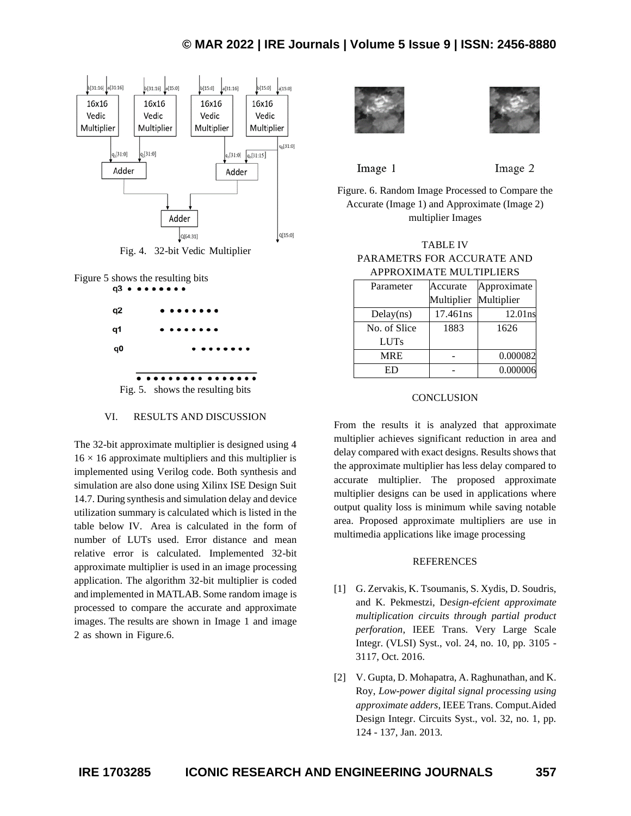# **© MAR 2022 | IRE Journals | Volume 5 Issue 9 | ISSN: 2456-8880**



Fig. 4. 32-bit Vedic Multiplier





#### VI. RESULTS AND DISCUSSION

The 32-bit approximate multiplier is designed using 4  $16 \times 16$  approximate multipliers and this multiplier is implemented using Verilog code. Both synthesis and simulation are also done using Xilinx ISE Design Suit 14.7. During synthesis and simulation delay and device utilization summary is calculated which is listed in the table below IV. Area is calculated in the form of number of LUTs used. Error distance and mean relative error is calculated. Implemented 32-bit approximate multiplier is used in an image processing application. The algorithm 32-bit multiplier is coded and implemented in MATLAB. Some random image is processed to compare the accurate and approximate images. The results are shown in Image 1 and image 2 as shown in Figure.6.





Image 1

Image 2

Figure. 6. Random Image Processed to Compare the Accurate (Image 1) and Approximate (Image 2) multiplier Images

| <b>TABLE IV</b>            |  |  |  |  |
|----------------------------|--|--|--|--|
| PARAMETRS FOR ACCURATE AND |  |  |  |  |
| APPROXIMATE MULTIPLIERS    |  |  |  |  |

| Parameter    | Accurate   | Approximate |
|--------------|------------|-------------|
|              | Multiplier | Multiplier  |
| Delay(ns)    | 17.461ns   | $12.01$ ns  |
| No. of Slice | 1883       | 1626        |
| <b>LUTs</b>  |            |             |
| <b>MRE</b>   |            | 0.000082    |
|              |            | 0.000006    |

## **CONCLUSION**

From the results it is analyzed that approximate multiplier achieves significant reduction in area and delay compared with exact designs. Results shows that the approximate multiplier has less delay compared to accurate multiplier. The proposed approximate multiplier designs can be used in applications where output quality loss is minimum while saving notable area. Proposed approximate multipliers are use in multimedia applications like image processing

#### **REFERENCES**

- [1] G. Zervakis, K. Tsoumanis, S. Xydis, D. Soudris, and K. Pekmestzi, D*esign-efcient approximate multiplication circuits through partial product perforation*, IEEE Trans. Very Large Scale Integr. (VLSI) Syst., vol. 24, no. 10, pp. 3105 - 3117, Oct. 2016.
- [2] V. Gupta, D. Mohapatra, A. Raghunathan, and K. Roy, *Low-power digital signal processing using approximate adders*, IEEE Trans. Comput.Aided Design Integr. Circuits Syst., vol. 32, no. 1, pp. 124 - 137, Jan. 2013.